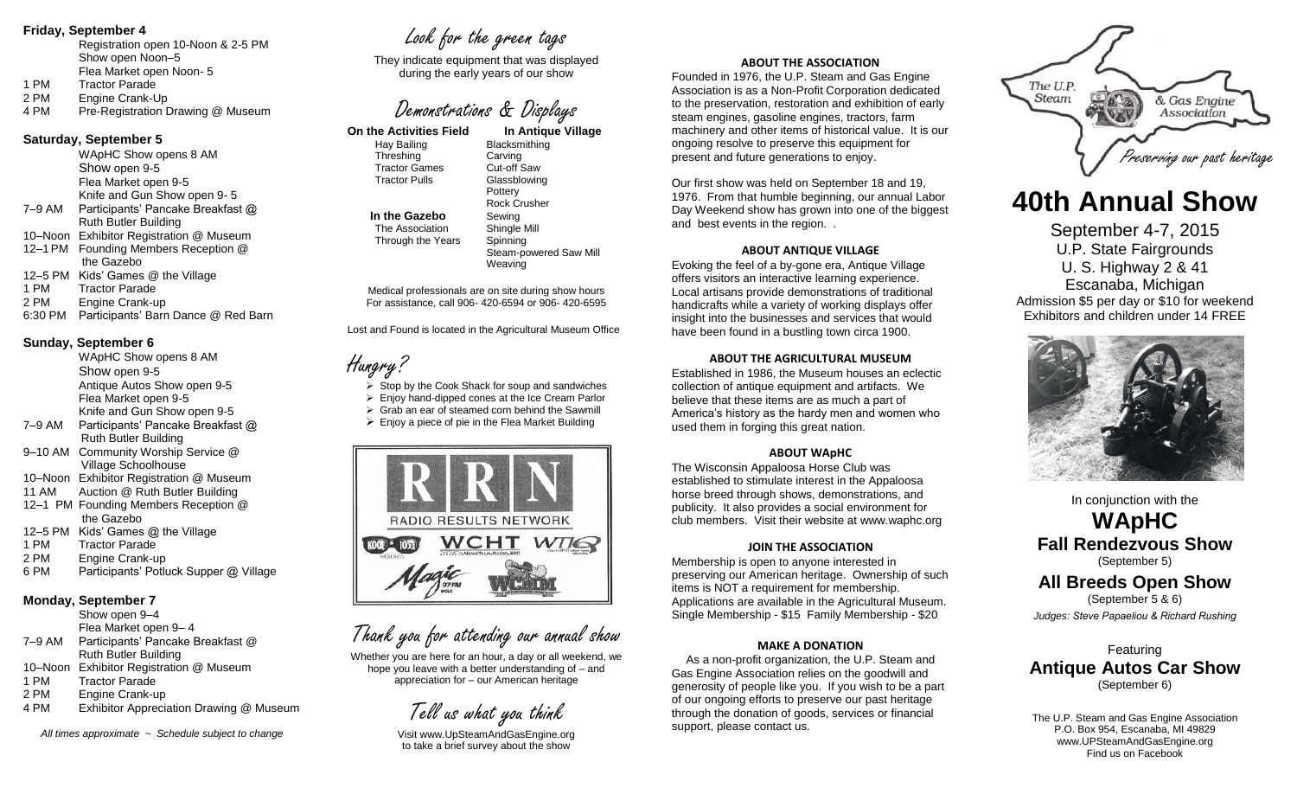#### **Friday, September 4**

Registration open 10-Noon & 2-5 PM Show open Noon–5 Flea Market open Noon- 5

- 1 PM Tractor Parade
- 2 PM Engine Crank-Up
- 4 PM Pre-Registration Drawing @ Museum

#### **Saturday, September 5**

WApHC Show opens 8 AM Show open 9-5 Flea Market open 9-5 Knife and Gun Show open 9- 5 7–9 AM Participants' Pancake Breakfast @ Ruth Butler Building 10–Noon Exhibitor Registration @ Museum 12–1PM Founding Members Reception @ the Gazebo 12–5 PM Kids' Games @ the Village 1 PM Tractor Parade 2 PM Engine Crank-up 6:30 PM Participants' Barn Dance @ Red Barn

#### **Sunday, September 6**

WApHC Show opens 8 AM Show open 9-5 Antique Autos Show open 9-5 Flea Market open 9-5 Knife and Gun Show open 9-5 7–9 AM Participants' Pancake Breakfast @ Ruth Butler Building 9–10 AM Community Worship Service @ Village Schoolhouse 10–Noon Exhibitor Registration @ Museum 11 AM Auction @ Ruth Butler Building 12–1 PM Founding Members Reception @

- the Gazebo 12–5 PM Kids' Games @ the Village
- 1 PM Tractor Parade
- 2 PM Engine Crank-up
- 6 PM Participants' Potluck Supper @ Village

#### **Monday, September 7**

Show open 9–4 Flea Market open 9– 4 7–9 AM Participants' Pancake Breakfast @ Ruth Butler Building

- 10–Noon Exhibitor Registration @ Museum
- 1 PM Tractor Parade
- 2 PM Engine Crank-up
- 4 PM Exhibitor Appreciation Drawing @ Museum

*All times approximate ~ Schedule subject to change*

### Look for the green tags

They indicate equipment that was displayed during the early years of our show

### Demonstrations & Displays

| On the Activities Field | In Antique Village                |
|-------------------------|-----------------------------------|
| Hay Bailing             | Blacksmithing                     |
| Threshing               | Carving                           |
| <b>Tractor Games</b>    | Cut-off Saw                       |
| <b>Tractor Pulls</b>    | Glassblowing                      |
|                         | Pottery                           |
|                         | Rock Crusher                      |
| In the Gazebo           | Sewing                            |
| The Association         | Shingle Mill                      |
| Through the Years       | Spinning                          |
|                         | Steam-powered Saw Mill<br>Weaving |
|                         |                                   |

Medical professionals are on site during show hours For assistance, call 906- 420-6594 or 906- 420-6595

Lost and Found is located in the Agricultural Museum Office

## Hungry?

 $\triangleright$  Stop by the Cook Shack for soup and sandwiches

- $\triangleright$  Enjoy hand-dipped cones at the Ice Cream Parlor
- $\triangleright$  Grab an ear of steamed corn behind the Sawmill
- $\triangleright$  Enjoy a piece of pie in the Flea Market Building



Thank you for attending our annual show

Whether you are here for an hour, a day or all weekend, we hope you leave with a better understanding of – and appreciation for – our American heritage

Tell us what you think

Visit www.UpSteamAndGasEngine.org to take a brief survey about the show

#### **ABOUT THE ASSOCIATION**

Founded in 1976, the U.P. Steam and Gas Engine Association is as a Non-Profit Corporation dedicated to the preservation, restoration and exhibition of early steam engines, gasoline engines, tractors, farm machinery and other items of historical value. It is our ongoing resolve to preserve this equipment for present and future generations to enjoy.

Our first show was held on September 18 and 19, 1976. From that humble beginning, our annual Labor Day Weekend show has grown into one of the biggest and best events in the region. .

#### **ABOUT ANTIQUE VILLAGE**

Evoking the feel of a by-gone era, Antique Village offers visitors an interactive learning experience. Local artisans provide demonstrations of traditional handicrafts while a variety of working displays offer insight into the businesses and services that would have been found in a bustling town circa 1900.

#### **ABOUT THE AGRICULTURAL MUSEUM**

Established in 1986, the Museum houses an eclectic collection of antique equipment and artifacts. We believe that these items are as much a part of America's history as the hardy men and women who used them in forging this great nation.

#### **ABOUT WApHC**

The Wisconsin Appaloosa Horse Club was established to stimulate interest in the Appaloosa horse breed through shows, demonstrations, and publicity. It also provides a social environment for club members. Visit their website at www.waphc.org

#### **JOIN THE ASSOCIATION**

Membership is open to anyone interested in preserving our American heritage. Ownership of such items is NOT a requirement for membership. Applications are available in the Agricultural Museum. Single Membership - \$15 Family Membership - \$20

#### **MAKE A DONATION**

 As a non-profit organization, the U.P. Steam and Gas Engine Association relies on the goodwill and generosity of people like you. If you wish to be a part of our ongoing efforts to preserve our past heritage through the donation of goods, services or financial support, please contact us.



# **40th Annual Show**

September 4-7, 2015 U.P. State Fairgrounds U. S. Highway 2 & 41 Escanaba, Michigan Admission \$5 per day or \$10 for weekend Exhibitors and children under 14 FREE



In conjunction with the **WApHC Fall Rendezvous Show** (September 5)

**All Breeds Open Show** (September 5 & 6) *Judges: Steve Papaeliou & Richard Rushing*

#### Featuring **Antique Autos Car Show** (September 6)

The U.P. Steam and Gas Engine Association P.O. Box 954, Escanaba, MI 49829 www.UPSteamAndGasEngine.org Find us on Facebook